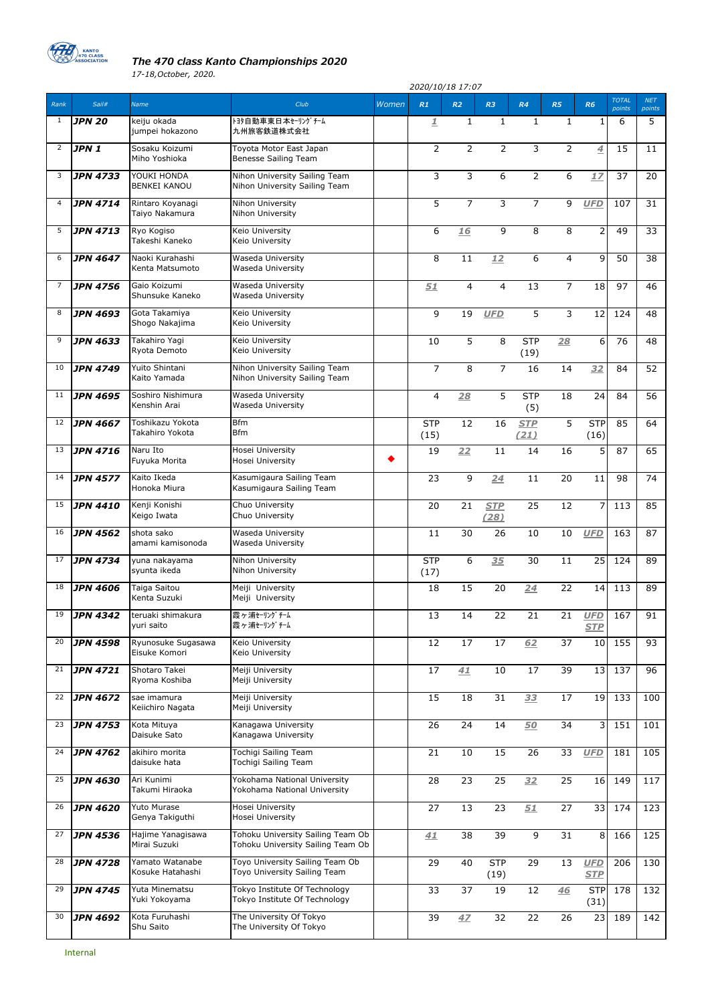

## *The 470 class Kanto Championships 2020*

*17-18,October, 2020.*

|                |                  |                                       | 2020/10/18 17:07                                                       |       |                    |                 |                    |                    |                 |                          |                        |                      |
|----------------|------------------|---------------------------------------|------------------------------------------------------------------------|-------|--------------------|-----------------|--------------------|--------------------|-----------------|--------------------------|------------------------|----------------------|
| Rank           | Sail#            | <b>Name</b>                           | Club                                                                   | Women | R1                 | R <sub>2</sub>  | R3                 | R4                 | R <sub>5</sub>  | R6                       | <b>TOTAL</b><br>points | <b>NET</b><br>points |
| 1              | <b>JPN 20</b>    | keiju okada<br>jumpei hokazono        | トヨタ自動車東日本セーリングチーム<br>九州旅客鉄道株式会社                                        |       | 1                  | 1               | $\mathbf{1}$       | $\mathbf{1}$       | 1               | 1                        | 6                      | 5.                   |
| 2              | JPN <sub>1</sub> | Sosaku Koizumi<br>Miho Yoshioka       | Toyota Motor East Japan<br>Benesse Sailing Team                        |       | $\overline{2}$     | $\overline{2}$  | $\overline{2}$     | 3                  | $\overline{2}$  | $\overline{4}$           | 15                     | 11                   |
| 3              | <b>JPN 4733</b>  | YOUKI HONDA<br><b>BENKEI KANOU</b>    | Nihon University Sailing Team<br>Nihon University Sailing Team         |       | 3                  | 3               | 6                  | $\overline{2}$     | 6               | 17                       | 37                     | 20                   |
| $\overline{4}$ | <b>JPN 4714</b>  | Rintaro Koyanagi<br>Taiyo Nakamura    | Nihon University<br>Nihon University                                   |       | 5                  | $\overline{7}$  | 3                  | $\overline{7}$     | 9               | <b>UFD</b>               | 107                    | 31                   |
| 5              | <b>JPN 4713</b>  | Ryo Kogiso<br>Takeshi Kaneko          | Keio University<br>Keio University                                     |       | 6                  | 16              | 9                  | 8                  | 8               | $\overline{2}$           | 49                     | 33                   |
| 6              | <b>JPN 4647</b>  | Naoki Kurahashi<br>Kenta Matsumoto    | Waseda University<br>Waseda University                                 |       | 8                  | 11              | 12                 | 6                  | 4               | 9                        | 50                     | 38                   |
| 7              | <b>JPN 4756</b>  | Gaio Koizumi<br>Shunsuke Kaneko       | Waseda University<br>Waseda University                                 |       | 51                 | 4               | 4                  | 13                 | $\overline{7}$  | 18                       | 97                     | 46                   |
| 8              | <b>JPN 4693</b>  | Gota Takamiya<br>Shogo Nakajima       | Keio University<br>Keio University                                     |       | 9                  | 19              | <b>UFD</b>         | 5                  | 3               | 12                       | 124                    | 48                   |
| 9              | <b>JPN 4633</b>  | Takahiro Yagi<br>Ryota Demoto         | Keio University<br>Keio University                                     |       | 10                 | 5               | 8                  | <b>STP</b><br>(19) | 28              | 6                        | 76                     | 48                   |
| 10             | <b>JPN 4749</b>  | Yuito Shintani<br>Kaito Yamada        | Nihon University Sailing Team<br>Nihon University Sailing Team         |       | 7                  | 8               | $\overline{7}$     | 16                 | 14              | 32                       | 84                     | 52                   |
| 11             | <b>JPN 4695</b>  | Soshiro Nishimura<br>Kenshin Arai     | Waseda University<br>Waseda University                                 |       | 4                  | 28              | 5                  | <b>STP</b><br>(5)  | 18              | 24                       | 84                     | 56                   |
| 12             | <b>JPN 4667</b>  | Toshikazu Yokota<br>Takahiro Yokota   | <b>Bfm</b><br>Bfm                                                      |       | <b>STP</b><br>(15) | 12              | 16                 | <b>STP</b><br>(21) | 5               | <b>STP</b><br>(16)       | 85                     | 64                   |
| 13             | <b>JPN 4716</b>  | Naru Ito<br>Fuyuka Morita             | Hosei University<br>Hosei University                                   |       | 19                 | 22              | 11                 | 14                 | 16              | 5                        | 87                     | 65                   |
| 14             | <b>JPN 4577</b>  | Kaito Ikeda<br>Honoka Miura           | Kasumigaura Sailing Team<br>Kasumigaura Sailing Team                   |       | 23                 | 9               | 24                 | 11                 | 20              | 11                       | 98                     | 74                   |
| 15             | <b>JPN 4410</b>  | Kenji Konishi<br>Keigo Iwata          | Chuo University<br>Chuo University                                     |       | 20                 | 21              | <b>STP</b><br>(28) | 25                 | 12              |                          | 113                    | 85                   |
| 16             | <b>JPN 4562</b>  | shota sako<br>amami kamisonoda        | Waseda University<br>Waseda University                                 |       | 11                 | 30              | 26                 | 10                 | 10              | <b>UFD</b>               | 163                    | 87                   |
| 17             | <b>JPN 4734</b>  | yuna nakayama<br>syunta ikeda         | Nihon University<br>Nihon University                                   |       | <b>STP</b><br>(17) | 6               | 35                 | 30                 | 11              | 25                       | 124                    | 89                   |
| 18             | <b>JPN 4606</b>  | Taiga Saitou<br>Kenta Suzuki          | Meiji University<br>Meiji University                                   |       | 18                 | 15              | 20                 | 24                 | 22              | 14                       | 113                    | 89                   |
| 19             | <b>JPN 4342</b>  | teruaki shimakura<br>yuri saito       | 霞ヶ浦セーリングチーム<br>霞ヶ浦セーリングチーム                                             |       | 13                 | 14              | 22                 | 21                 | 21              | <b>UFD</b><br><b>STP</b> | 167                    | 91                   |
| 20             | <b>JPN 4598</b>  | Ryunosuke Sugasawa<br>Eisuke Komori   | Keio University<br>Keio University                                     |       | 12                 | 17              | 17                 | 62                 | 37              | 10                       | 155                    | 93                   |
| 21             | <b>JPN 4721</b>  | Shotaro Takei<br>Ryoma Koshiba        | Meiji University<br>Meiji University                                   |       | 17                 | 41              | 10                 | 17                 | 39              | 13                       | 137                    | 96                   |
| 22             | <b>JPN 4672</b>  | sae imamura<br>Keiichiro Nagata       | Meiji University<br>Meiji University                                   |       | $\overline{15}$    | $\overline{18}$ | $\overline{31}$    | 33                 | $\overline{17}$ | 19                       | 133                    | 100                  |
| 23             | <b>JPN 4753</b>  | Kota Mituya<br>Daisuke Sato           | Kanagawa University<br>Kanagawa University                             |       | 26                 | 24              | 14                 | 50                 | 34              | 3                        | 151                    | 101                  |
| 24             | <b>JPN 4762</b>  | akihiro morita<br>daisuke hata        | Tochigi Sailing Team<br>Tochigi Sailing Team                           |       | 21                 | 10              | 15                 | 26                 | 33              | <b>UFD</b>               | 181                    | 105                  |
| 25             | <b>JPN 4630</b>  | Ari Kunimi<br>Takumi Hiraoka          | Yokohama National University<br>Yokohama National University           |       | 28                 | 23              | 25                 | 32                 | 25              | 16                       | 149                    | 117                  |
| 26             | <b>JPN 4620</b>  | <b>Yuto Murase</b><br>Genya Takiguthi | <b>Hosei University</b><br>Hosei University                            |       | 27                 | 13              | 23                 | 51                 | 27              | 33                       | 174                    | 123                  |
| 27             | <b>JPN 4536</b>  | Hajime Yanagisawa<br>Mirai Suzuki     | Tohoku University Sailing Team Ob<br>Tohoku University Sailing Team Ob |       | 41                 | 38              | 39                 | 9                  | 31              | 8                        | 166                    | 125                  |
| 28             | <b>JPN 4728</b>  | Yamato Watanabe<br>Kosuke Hatahashi   | Toyo University Sailing Team Ob<br>Toyo University Sailing Team        |       | 29                 | 40              | <b>STP</b><br>(19) | 29                 | 13              | <b>UFD</b><br><b>STP</b> | 206                    | 130                  |
| 29             | <b>JPN 4745</b>  | Yuta Minematsu<br>Yuki Yokoyama       | Tokyo Institute Of Technology<br>Tokyo Institute Of Technology         |       | 33                 | 37              | 19                 | 12                 | 46              | <b>STP</b><br>(31)       | 178                    | 132                  |
| 30             | <b>JPN 4692</b>  | Kota Furuhashi<br>Shu Saito           | The University Of Tokyo<br>The University Of Tokyo                     |       | 39                 | 47              | 32                 | 22                 | 26              | 23                       | 189                    | 142                  |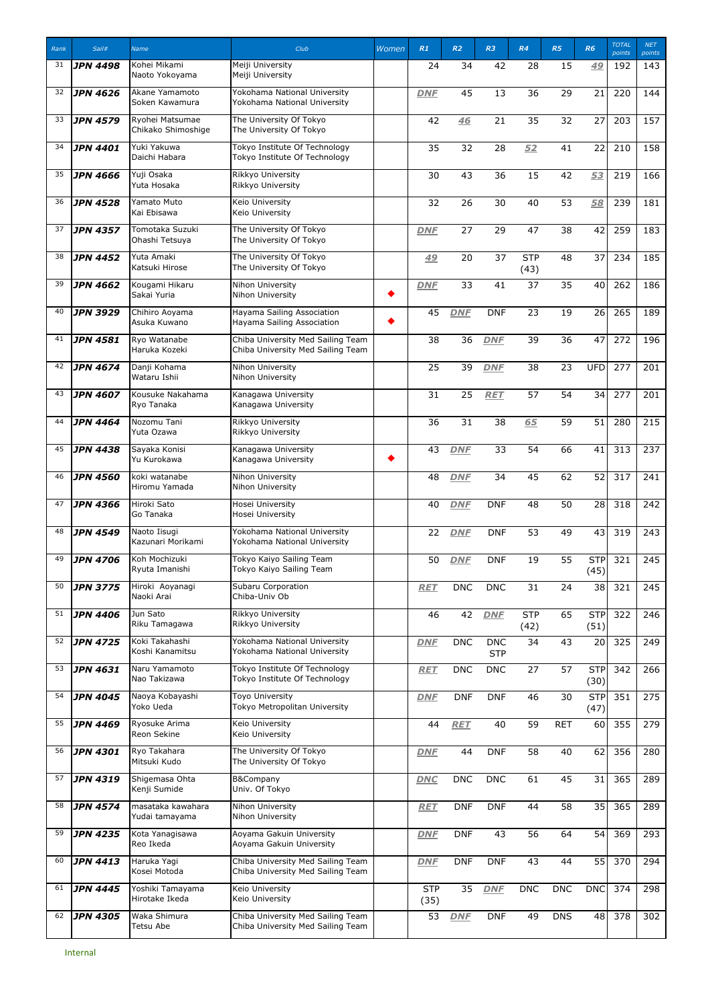| Rank | Sail#           | Name                                  | Club                                                                   | Women | R1                 | R2              | R3                       | R4                 | R5              | R6                 | <b>TOTAL</b><br>points | <b>NET</b><br>points |
|------|-----------------|---------------------------------------|------------------------------------------------------------------------|-------|--------------------|-----------------|--------------------------|--------------------|-----------------|--------------------|------------------------|----------------------|
| 31   | <b>JPN 4498</b> | Kohei Mikami<br>Naoto Yokoyama        | Meiji University<br>Meiji University                                   |       | 24                 | 34              | 42                       | 28                 | 15              | 49                 | 192                    | 143                  |
| 32   | <b>JPN 4626</b> | Akane Yamamoto<br>Soken Kawamura      | Yokohama National University<br>Yokohama National University           |       | <b>DNF</b>         | $\overline{45}$ | $\overline{13}$          | $\overline{36}$    | $\overline{29}$ | $\overline{21}$    | 220                    | 144                  |
| 33   | <b>JPN 4579</b> | Ryohei Matsumae<br>Chikako Shimoshige | The University Of Tokyo<br>The University Of Tokyo                     |       | 42                 | 46              | 21                       | 35                 | 32              | 27                 | 203                    | 157                  |
| 34   | <b>JPN 4401</b> | Yuki Yakuwa<br>Daichi Habara          | Tokyo Institute Of Technology<br>Tokyo Institute Of Technology         |       | 35                 | 32              | 28                       | 52                 | 41              | 22                 | 210                    | 158                  |
| 35   | <b>JPN 4666</b> | Yuji Osaka<br>Yuta Hosaka             | Rikkyo University<br>Rikkyo University                                 |       | 30                 | 43              | 36                       | 15                 | 42              | 53                 | 219                    | 166                  |
| 36   | <b>JPN 4528</b> | Yamato Muto<br>Kai Ebisawa            | Keio University<br>Keio University                                     |       | 32                 | 26              | 30                       | 40                 | 53              | 58                 | 239                    | 181                  |
| 37   | <b>JPN 4357</b> | Tomotaka Suzuki<br>Ohashi Tetsuya     | The University Of Tokyo<br>The University Of Tokyo                     |       | <b>DNF</b>         | 27              | 29                       | 47                 | 38              | 42                 | 259                    | 183                  |
| 38   | <b>JPN 4452</b> | Yuta Amaki<br>Katsuki Hirose          | The University Of Tokyo<br>The University Of Tokyo                     |       | 49                 | 20              | 37                       | <b>STP</b><br>(43) | 48              | 37                 | 234                    | 185                  |
| 39   | <b>JPN 4662</b> | Kougami Hikaru<br>Sakai Yuria         | Nihon University<br>Nihon University                                   |       | <b>DNF</b>         | 33              | 41                       | 37                 | 35              | 40                 | 262                    | 186                  |
| 40   | <b>JPN 3929</b> | Chihiro Aoyama<br>Asuka Kuwano        | Hayama Sailing Association<br>Hayama Sailing Association               |       | 45                 | <b>DNF</b>      | <b>DNF</b>               | $\overline{23}$    | 19              | 26                 | 265                    | 189                  |
| 41   | <b>JPN 4581</b> | Ryo Watanabe<br>Haruka Kozeki         | Chiba University Med Sailing Team<br>Chiba University Med Sailing Team |       | 38                 | 36              | <b>DNF</b>               | 39                 | 36              | 47                 | 272                    | 196                  |
| 42   | <b>JPN 4674</b> | Danji Kohama<br>Wataru Ishii          | Nihon University<br>Nihon University                                   |       | 25                 | 39              | <b>DNF</b>               | 38                 | 23              | <b>UFD</b>         | 277                    | 201                  |
| 43   | <b>JPN 4607</b> | Kousuke Nakahama<br>Ryo Tanaka        | Kanagawa University<br>Kanagawa University                             |       | 31                 | 25              | <b>RET</b>               | $\overline{57}$    | 54              | 34                 | 277                    | 201                  |
| 44   | <b>JPN 4464</b> | Nozomu Tani<br>Yuta Ozawa             | Rikkyo University<br>Rikkyo University                                 |       | 36                 | 31              | 38                       | 65                 | 59              | 51                 | 280                    | 215                  |
| 45   | <b>JPN 4438</b> | Sayaka Konisi<br>Yu Kurokawa          | Kanagawa University<br>Kanagawa University                             |       | 43                 | <b>DNF</b>      | 33                       | 54                 | 66              | 41                 | 313                    | 237                  |
| 46   | <b>JPN 4560</b> | koki watanabe<br>Hiromu Yamada        | Nihon University<br>Nihon University                                   |       | 48                 | <b>DNF</b>      | 34                       | 45                 | 62              | 52                 | 317                    | 241                  |
| 47   | <b>JPN 4366</b> | Hiroki Sato<br>Go Tanaka              | Hosei University<br>Hosei University                                   |       | 40                 | <b>DNF</b>      | <b>DNF</b>               | 48                 | $\overline{50}$ | 28                 | 318                    | $\overline{242}$     |
| 48   | <b>JPN 4549</b> | Naoto Iisugi<br>Kazunari Morikami     | Yokohama National University<br>Yokohama National University           |       | 22                 | <b>DNF</b>      | <b>DNF</b>               | 53                 | 49              | 43                 | 319                    | 243                  |
| 49   | <b>JPN 4706</b> | Koh Mochizuki<br>Ryuta Imanishi       | Tokyo Kaiyo Sailing Team<br>Tokyo Kaiyo Sailing Team                   |       | 50                 | <b>DNF</b>      | <b>DNF</b>               | 19                 | 55              | <b>STP</b><br>(45) | 321                    | 245                  |
| 50   | <b>JPN 3775</b> | Hiroki Aoyanagi<br>Naoki Arai         | Subaru Corporation<br>Chiba-Univ Ob                                    |       | <b>RET</b>         | <b>DNC</b>      | <b>DNC</b>               | 31                 | 24              | 38                 | 321                    | 245                  |
| 51   | <b>JPN 4406</b> | Jun Sato<br>Riku Tamagawa             | Rikkyo University<br>Rikkyo University                                 |       | 46                 | 42              | <b>DNF</b>               | <b>STP</b><br>(42) | 65              | <b>STP</b><br>(51) | 322                    | 246                  |
| 52   | <b>JPN 4725</b> | Koki Takahashi<br>Koshi Kanamitsu     | Yokohama National University<br>Yokohama National University           |       | <b>DNF</b>         | <b>DNC</b>      | <b>DNC</b><br><b>STP</b> | 34                 | 43              | 20                 | 325                    | 249                  |
| 53   | <b>JPN 4631</b> | Naru Yamamoto<br>Nao Takizawa         | Tokyo Institute Of Technology<br>Tokyo Institute Of Technology         |       | <b>RET</b>         | <b>DNC</b>      | <b>DNC</b>               | 27                 | 57              | <b>STP</b><br>(30) | 342                    | 266                  |
| 54   | <b>JPN 4045</b> | Naoya Kobayashi<br>Yoko Ueda          | Toyo University<br>Tokyo Metropolitan University                       |       | <b>DNF</b>         | <b>DNF</b>      | <b>DNF</b>               | 46                 | 30              | <b>STP</b><br>(47) | 351                    | 275                  |
| 55   | <b>JPN 4469</b> | Ryosuke Arima<br>Reon Sekine          | <b>Keio University</b><br>Keio University                              |       | 44                 | <b>RET</b>      | 40                       | $\overline{59}$    | <b>RET</b>      | 60                 | 355                    | 279                  |
| 56   | <b>JPN 4301</b> | Ryo Takahara<br>Mitsuki Kudo          | The University Of Tokyo<br>The University Of Tokyo                     |       | <b>DNF</b>         | 44              | <b>DNF</b>               | 58                 | 40              | 62                 | 356                    | 280                  |
| 57   | <b>JPN 4319</b> | Shigemasa Ohta<br>Kenji Sumide        | B&Company<br>Univ. Of Tokyo                                            |       | <b>DNC</b>         | <b>DNC</b>      | <b>DNC</b>               | 61                 | 45              | 31                 | 365                    | 289                  |
| 58   | <b>JPN 4574</b> | masataka kawahara<br>Yudai tamayama   | Nihon University<br>Nihon University                                   |       | <b>RET</b>         | <b>DNF</b>      | <b>DNF</b>               | 44                 | 58              | 35                 | 365                    | 289                  |
| 59   | <b>JPN 4235</b> | Kota Yanagisawa<br>Reo Ikeda          | Aoyama Gakuin University<br>Aoyama Gakuin University                   |       | <b>DNF</b>         | <b>DNF</b>      | 43                       | 56                 | 64              | 54                 | 369                    | 293                  |
| 60   | JPN 4413        | Haruka Yagi<br>Kosei Motoda           | Chiba University Med Sailing Team<br>Chiba University Med Sailing Team |       | <b>DNF</b>         | <b>DNF</b>      | <b>DNF</b>               | 43                 | 44              | 55                 | 370                    | 294                  |
| 61   | <b>JPN 4445</b> | Yoshiki Tamayama<br>Hirotake Ikeda    | Keio University<br>Keio University                                     |       | <b>STP</b><br>(35) | 35              | <b>DNF</b>               | <b>DNC</b>         | <b>DNC</b>      | <b>DNC</b>         | 374                    | 298                  |
| 62   | <b>JPN 4305</b> | Waka Shimura<br>Tetsu Abe             | Chiba University Med Sailing Team<br>Chiba University Med Sailing Team |       | 53                 | <b>DNF</b>      | <b>DNF</b>               | 49                 | <b>DNS</b>      |                    | 48 378                 | 302                  |
|      |                 |                                       |                                                                        |       |                    |                 |                          |                    |                 |                    |                        |                      |